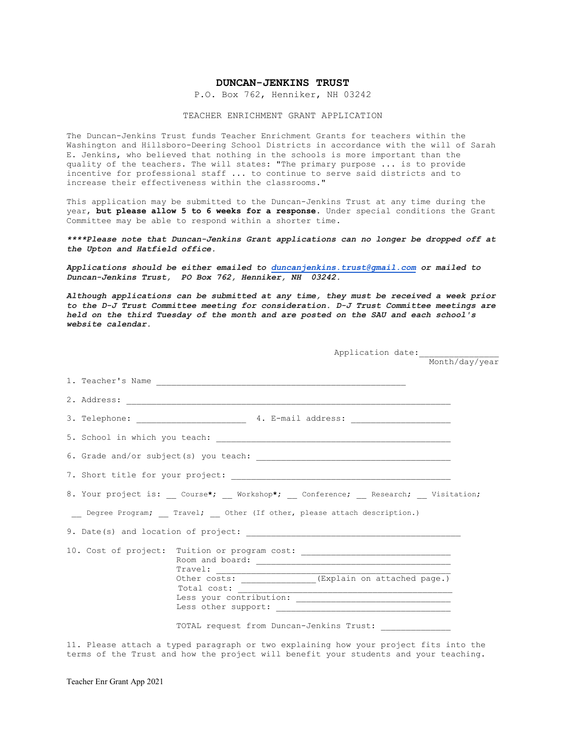## **DUNCAN-JENKINS TRUST**

P.O. Box 762, Henniker, NH 03242

## TEACHER ENRICHMENT GRANT APPLICATION

The Duncan-Jenkins Trust funds Teacher Enrichment Grants for teachers within the Washington and Hillsboro-Deering School Districts in accordance with the will of Sarah E. Jenkins, who believed that nothing in the schools is more important than the quality of the teachers. The will states: "The primary purpose ... is to provide incentive for professional staff ... to continue to serve said districts and to increase their effectiveness within the classrooms."

This application may be submitted to the Duncan-Jenkins Trust at any time during the year, **but please allow 5 to 6 weeks for a response**. Under special conditions the Grant Committee may be able to respond within a shorter time.

*\*\*\*\*Please note that Duncan-Jenkins Grant applications can no longer be dropped off at the Upton and Hatfield office.* 

*Applications should be either emailed to [duncanjenkins.trust@gmail.com](mailto:duncanjenkins.trust@gmail.com) or mailed to Duncan-Jenkins Trust, PO Box 762, Henniker, NH 03242.*

*Although applications can be submitted at any time, they must be received a week prior to the D-J Trust Committee meeting for consideration. D-J Trust Committee meetings are held on the third Tuesday of the month and are posted on the SAU and each school's website calendar.*

|                                                                                              |                                                 |  |                                                         | Month/day/year |  |  |  |
|----------------------------------------------------------------------------------------------|-------------------------------------------------|--|---------------------------------------------------------|----------------|--|--|--|
|                                                                                              |                                                 |  |                                                         |                |  |  |  |
|                                                                                              |                                                 |  |                                                         |                |  |  |  |
|                                                                                              |                                                 |  |                                                         |                |  |  |  |
|                                                                                              |                                                 |  |                                                         |                |  |  |  |
|                                                                                              |                                                 |  |                                                         |                |  |  |  |
|                                                                                              |                                                 |  |                                                         |                |  |  |  |
| 8. Your project is: ___ Course*; ___ Workshop*; __ Conference; ___ Research; ___ Visitation; |                                                 |  |                                                         |                |  |  |  |
| __ Degree Program; __ Travel; __ Other (If other, please attach description.)                |                                                 |  |                                                         |                |  |  |  |
|                                                                                              |                                                 |  |                                                         |                |  |  |  |
| 10. Cost of project: Tuition or program cost: __________________________________             | $\begin{tabular}{c} \bf{Travel:} \end{tabular}$ |  |                                                         |                |  |  |  |
|                                                                                              | Total cost:                                     |  | Other costs: ______________ (Explain on attached page.) |                |  |  |  |
|                                                                                              |                                                 |  | TOTAL request from Duncan-Jenkins Trust: _____________  |                |  |  |  |

11. Please attach a typed paragraph or two explaining how your project fits into the terms of the Trust and how the project will benefit your students and your teaching.